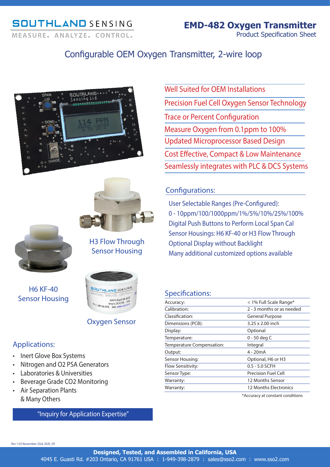## **SOUTHLAND SENSING** MEASURE, ANALYZE, CONTROL,

## Configurable OEM Oxygen Transmitter, 2-wire loop







H3 Flow Through Sensor Housing

H6 KF-40 Sensor Housing



## Oxygen Sensor

## Applications:

- Inert Glove Box Systems
- Nitrogen and O2 PSA Generators
- Laboratories & Universities
- Beverage Grade CO2 Monitoring
- Air Separation Plants & Many Others

## "Inquiry for Application Expertise"

Cost Effective, Compact & Low Maintenance Well Suited for OFM Installations Precision Fuel Cell Oxygen Sensor Technology Trace or Percent Configuration Measure Oxygen from 0.1ppm to 100% Updated Microprocessor Based Design Seamlessly integrates with PLC & DCS Systems

## Configurations:

User Selectable Ranges (Pre-Configured): 0 - 10ppm/100/1000ppm/1%/5%/10%/25%/100% Digital Push Buttons to Perform Local Span Cal Sensor Housings: H6 KF-40 or H3 Flow Through Optional Display without Backlight Many additional customized options available

## Specifications:

| $         -$              |                            |
|---------------------------|----------------------------|
| Accuracy:                 | < 1% Full Scale Range*     |
| Calibration:              | 2 - 3 months or as needed  |
| Classification:           | <b>General Purpose</b>     |
| Dimensions (PCB):         | 3.25 x 2.00 inch           |
| Display:                  | Optional                   |
| Temperature:              | 0 - 50 deg C               |
| Temperature Compensation: | Integral                   |
| Output:                   | $4 - 20mA$                 |
| Sensor Housing:           | Optional, H6 or H3         |
| <b>Flow Sensitivity:</b>  | $0.5 - 5.0$ SCFH           |
| Sensor Type:              | <b>Precision Fuel Cell</b> |
| Warranty:                 | 12 Months Sensor           |
| Warranty:                 | 12 Months Electronics      |
|                           |                            |

\*Accuracy at constant conditions